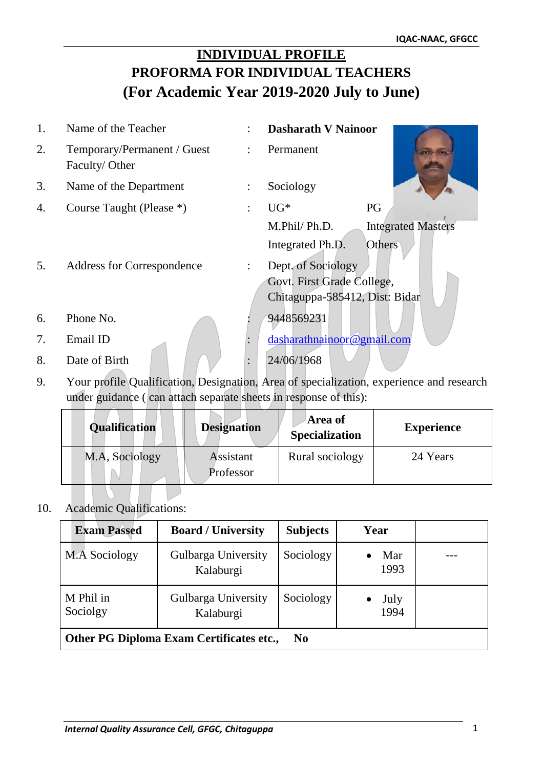## **INDIVIDUAL PROFILE PROFORMA FOR INDIVIDUAL TEACHERS (For Academic Year 2019-2020 July to June)**

| 1. | Name of the Teacher                          |                      | <b>Dasharath V Nainoor</b>                                                                                             |                                     |
|----|----------------------------------------------|----------------------|------------------------------------------------------------------------------------------------------------------------|-------------------------------------|
| 2. | Temporary/Permanent / Guest<br>Faculty/Other | $\ddot{\phantom{a}}$ | Permanent                                                                                                              |                                     |
| 3. | Name of the Department                       |                      | Sociology                                                                                                              |                                     |
| 4. | Course Taught (Please *)                     |                      | $UG^*$                                                                                                                 | PG                                  |
| 5. | Address for Correspondence                   | $\ddot{\cdot}$       | M.Phil/Ph.D.<br>Integrated Ph.D.<br>Dept. of Sociology<br>Govt. First Grade College,<br>Chitaguppa-585412, Dist: Bidar | <b>Integrated Masters</b><br>Others |
| 6. | Phone No.                                    |                      | 9448569231                                                                                                             |                                     |
| 7. | Email ID                                     |                      | dasharathnainoor@gmail.com                                                                                             |                                     |
| 8. | Date of Birth                                |                      | 24/06/1968                                                                                                             |                                     |

9. Your profile Qualification, Designation, Area of specialization, experience and research under guidance ( can attach separate sheets in response of this):

| <b>Qualification</b> | <b>Designation</b>            | Area of<br><b>Specialization</b> | <b>Experience</b> |
|----------------------|-------------------------------|----------------------------------|-------------------|
| M.A. Sociology       | <b>Assistant</b><br>Professor | Rural sociology                  | 24 Years          |

## 10. Academic Qualifications:

| <b>Exam Passed</b>                                                | <b>Board / University</b>        | <b>Subjects</b> | Year         |  |  |
|-------------------------------------------------------------------|----------------------------------|-----------------|--------------|--|--|
| M.A Sociology                                                     | Gulbarga University<br>Kalaburgi | Sociology       | Mar<br>1993  |  |  |
| M Phil in<br>Sociolgy                                             | Gulbarga University<br>Kalaburgi | Sociology       | July<br>1994 |  |  |
| <b>Other PG Diploma Exam Certificates etc.,</b><br>N <sub>0</sub> |                                  |                 |              |  |  |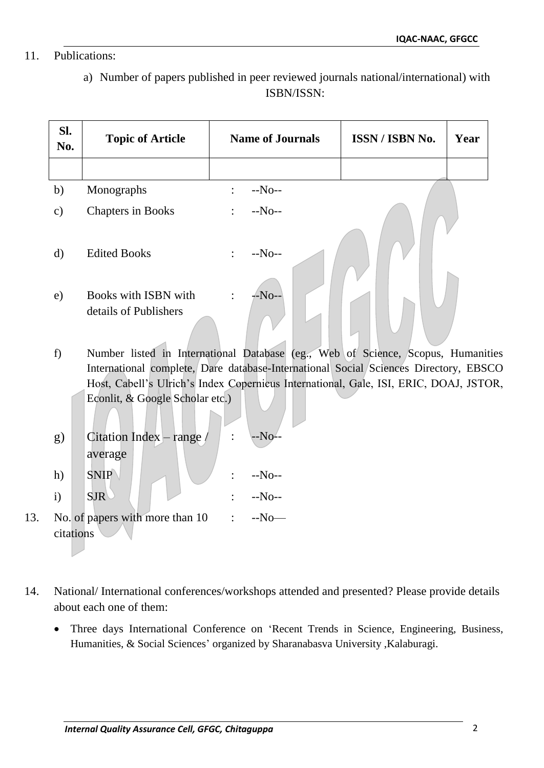## 11. Publications:

a) Number of papers published in peer reviewed journals national/international) with ISBN/ISSN:

| Sl.<br>No.    | <b>Topic of Article</b>                                                          | <b>Name of Journals</b>                                                               | ISSN / ISBN No. | Year |
|---------------|----------------------------------------------------------------------------------|---------------------------------------------------------------------------------------|-----------------|------|
| b)            | Monographs                                                                       | $-No-$                                                                                |                 |      |
| $\mathbf{c})$ | <b>Chapters in Books</b>                                                         | $-No-$<br>$\ddot{\cdot}$                                                              |                 |      |
| $\mathbf{d}$  | <b>Edited Books</b>                                                              | $-No-$                                                                                |                 |      |
| e)            | Books with ISBN with                                                             | $-No-$                                                                                |                 |      |
|               | details of Publishers                                                            |                                                                                       |                 |      |
| f)            | Number listed in International Database (eg., Web of Science, Scopus, Humanities |                                                                                       |                 |      |
|               |                                                                                  | International complete, Dare database-International Social Sciences Directory, EBSCO  |                 |      |
|               | Econlit, & Google Scholar etc.)                                                  | Host, Cabell's Ulrich's Index Copernicus International, Gale, ISI, ERIC, DOAJ, JSTOR, |                 |      |
| g)            | Citation Index $-$ range /<br>average                                            | -No-                                                                                  |                 |      |
| h)            | <b>SNIP</b>                                                                      | $-No-$                                                                                |                 |      |
| $\mathbf{i}$  | SJR                                                                              | $-No-$                                                                                |                 |      |
| citations     | No. of papers with more than 10                                                  | $-No$ —<br>$\ddot{\cdot}$                                                             |                 |      |
|               |                                                                                  |                                                                                       |                 |      |

- 14. National/ International conferences/workshops attended and presented? Please provide details about each one of them:
	- Three days International Conference on 'Recent Trends in Science, Engineering, Business, Humanities, & Social Sciences' organized by Sharanabasva University ,Kalaburagi.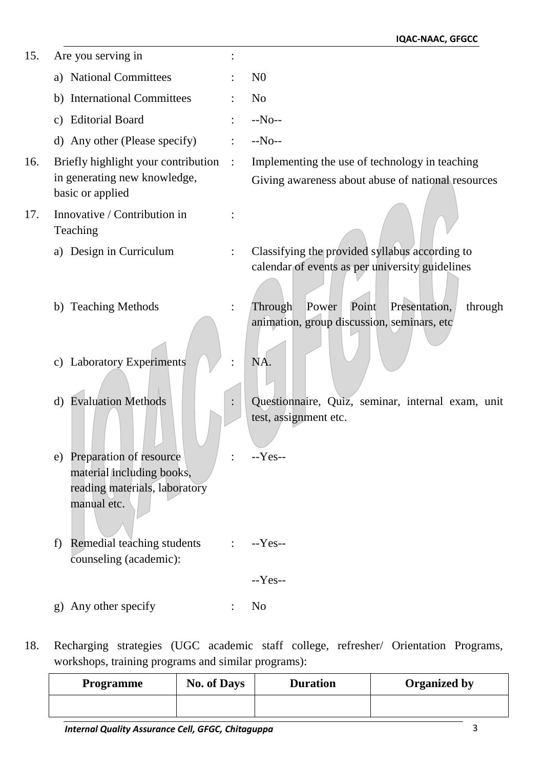| 15. | Are you serving in                                                                                         |                                                                                                     |
|-----|------------------------------------------------------------------------------------------------------------|-----------------------------------------------------------------------------------------------------|
|     | a) National Committees                                                                                     | N <sub>0</sub>                                                                                      |
|     | <b>International Committees</b><br>b)                                                                      | N <sub>o</sub>                                                                                      |
|     | <b>Editorial Board</b><br>C)                                                                               | $-No-$                                                                                              |
|     | d) Any other (Please specify)                                                                              | $-No-$                                                                                              |
| 16. | Briefly highlight your contribution :                                                                      | Implementing the use of technology in teaching                                                      |
|     | in generating new knowledge,<br>basic or applied                                                           | Giving awareness about abuse of national resources                                                  |
| 17. | Innovative / Contribution in<br>Teaching                                                                   |                                                                                                     |
|     | Design in Curriculum<br>a)                                                                                 | Classifying the provided syllabus according to<br>calendar of events as per university guidelines   |
|     | <b>Teaching Methods</b><br>b)                                                                              | Point<br>Power<br>Presentation,<br>Through<br>through<br>animation, group discussion, seminars, etc |
|     | Laboratory Experiments<br>$\mathbf{c})$                                                                    | NA.                                                                                                 |
|     | d) Evaluation Methods                                                                                      | Questionnaire, Quiz, seminar, internal exam, unit<br>test, assignment etc.                          |
|     | Preparation of resource<br>e)<br>material including books,<br>reading materials, laboratory<br>manual etc. | $-Yes-$                                                                                             |
|     | Remedial teaching students<br>f)<br>counseling (academic):                                                 | $-Yes-$                                                                                             |
|     |                                                                                                            | $-Yes-$                                                                                             |
|     | Any other specify<br>$\mathbf{g}$                                                                          | N <sub>o</sub>                                                                                      |
|     |                                                                                                            |                                                                                                     |

18. Recharging strategies (UGC academic staff college, refresher/ Orientation Programs, workshops, training programs and similar programs):

| <b>Programme</b> | <b>No. of Days</b> | <b>Duration</b> | <b>Organized by</b> |
|------------------|--------------------|-----------------|---------------------|
|                  |                    |                 |                     |
|                  |                    |                 |                     |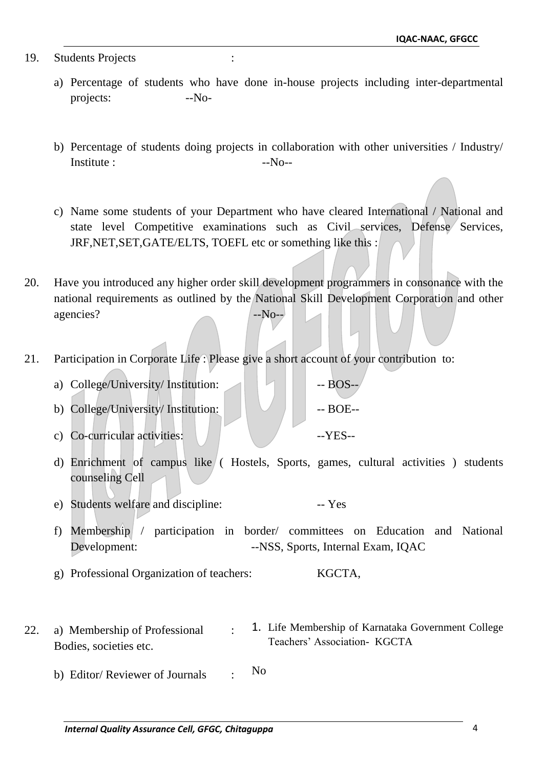- 19. Students Projects :
	- a) Percentage of students who have done in-house projects including inter-departmental projects: --No-
	- b) Percentage of students doing projects in collaboration with other universities / Industry/ Institute :  $-NO^{-1}$
	- c) Name some students of your Department who have cleared International / National and state level Competitive examinations such as Civil services, Defense Services, JRF,NET,SET,GATE/ELTS, TOEFL etc or something like this :
- 20. Have you introduced any higher order skill development programmers in consonance with the national requirements as outlined by the National Skill Development Corporation and other agencies?  $\sim$  --No--
- 21. Participation in Corporate Life : Please give a short account of your contribution to:

| a) College/University/ Institution: | $-$ BOS $-$ |
|-------------------------------------|-------------|
| b) College/University/ Institution: | $-$ BOE $-$ |
| c) Co-curricular activities:        | $-YES-$     |

- d) Enrichment of campus like ( Hostels, Sports, games, cultural activities ) students counseling Cell
- e) Students welfare and discipline: -- Yes
- f) Membership / participation in border/ committees on Education and National Development: --NSS, Sports, Internal Exam, IOAC
- g) Professional Organization of teachers: KGCTA,
- 22. a) Membership of Professional Bodies, societies etc. : 1. Life Membership of Karnataka Government College Teachers' Association- KGCTA
	- b) Editor/ Reviewer of Journals : No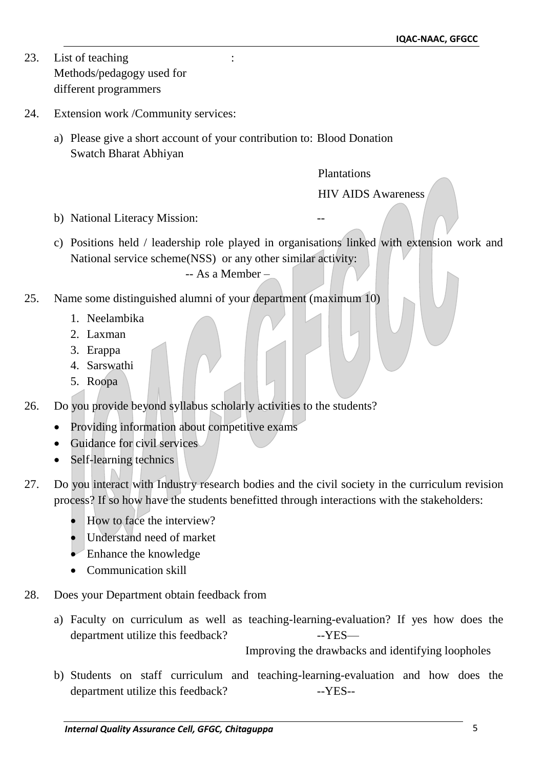- 23. List of teaching Methods/pedagogy used for different programmers
- 24. Extension work /Community services:
	- a) Please give a short account of your contribution to: Blood Donation Swatch Bharat Abhiyan

:

Plantations

HIV AIDS Awareness

- b) National Literacy Mission:
- c) Positions held / leadership role played in organisations linked with extension work and National service scheme(NSS) or any other similar activity:

-- As a Member –

- 25. Name some distinguished alumni of your department (maximum 10)
	- 1. Neelambika
	- 2. Laxman
	- 3. Erappa
	- 4. Sarswathi
	- 5. Roopa
- 26. Do you provide beyond syllabus scholarly activities to the students?
	- Providing information about competitive exams
	- Guidance for civil services
	- Self-learning technics
- 27. Do you interact with Industry research bodies and the civil society in the curriculum revision process? If so how have the students benefitted through interactions with the stakeholders:
	- How to face the interview?
	- Understand need of market
	- Enhance the knowledge
	- Communication skill
- 28. Does your Department obtain feedback from
	- a) Faculty on curriculum as well as teaching-learning-evaluation? If yes how does the department utilize this feedback? --YES—

Improving the drawbacks and identifying loopholes

b) Students on staff curriculum and teaching-learning-evaluation and how does the department utilize this feedback? -- YES--